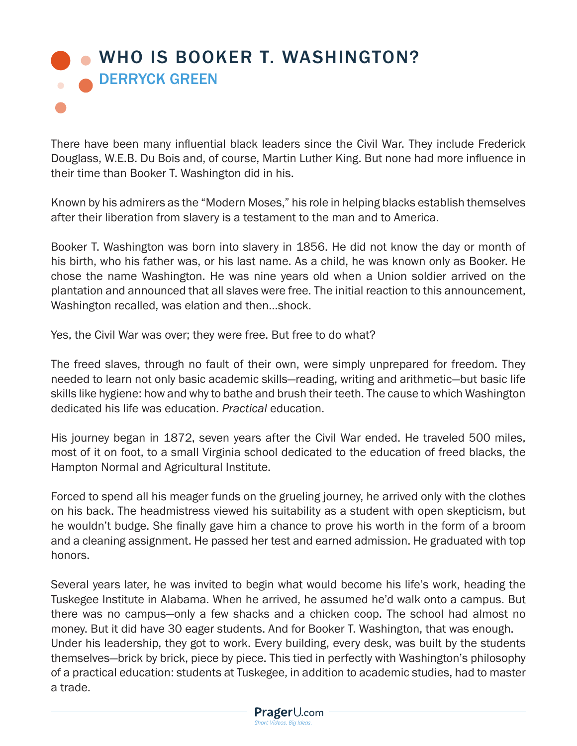## [WHO IS BOOKER T. WASHINGTON?](https://www.prageru.com/video/who-is-booker-t-washington/) DERRYCK GREEN

There have been many influential black leaders since the Civil War. They include Frederick Douglass, W.E.B. Du Bois and, of course, Martin Luther King. But none had more influence in their time than Booker T. Washington did in his.

Known by his admirers as the "Modern Moses," his role in helping blacks establish themselves after their liberation from slavery is a testament to the man and to America.

Booker T. Washington was born into slavery in 1856. He did not know the day or month of his birth, who his father was, or his last name. As a child, he was known only as Booker. He chose the name Washington. He was nine years old when a Union soldier arrived on the plantation and announced that all slaves were free. The initial reaction to this announcement, Washington recalled, was elation and then…shock.

Yes, the Civil War was over; they were free. But free to do what?

The freed slaves, through no fault of their own, were simply unprepared for freedom. They needed to learn not only basic academic skills—reading, writing and arithmetic—but basic life skills like hygiene: how and why to bathe and brush their teeth. The cause to which Washington dedicated his life was education. *Practical* education.

His journey began in 1872, seven years after the Civil War ended. He traveled 500 miles, most of it on foot, to a small Virginia school dedicated to the education of freed blacks, the Hampton Normal and Agricultural Institute.

Forced to spend all his meager funds on the grueling journey, he arrived only with the clothes on his back. The headmistress viewed his suitability as a student with open skepticism, but he wouldn't budge. She finally gave him a chance to prove his worth in the form of a broom and a cleaning assignment. He passed her test and earned admission. He graduated with top honors.

Several years later, he was invited to begin what would become his life's work, heading the Tuskegee Institute in Alabama. When he arrived, he assumed he'd walk onto a campus. But there was no campus—only a few shacks and a chicken coop. The school had almost no money. But it did have 30 eager students. And for Booker T. Washington, that was enough. Under his leadership, they got to work. Every building, every desk, was built by the students themselves—brick by brick, piece by piece. This tied in perfectly with Washington's philosophy of a practical education: students at Tuskegee, in addition to academic studies, had to master a trade.